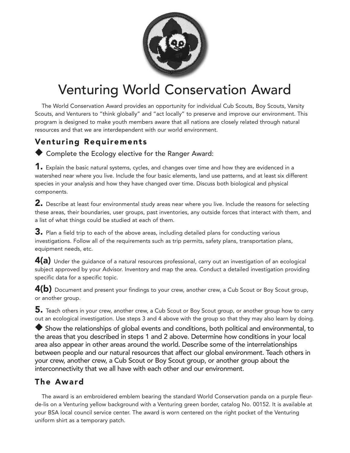

## Venturing World Conservation Award

The World Conservation Award provides an opportunity for individual Cub Scouts, Boy Scouts, Varsity Scouts, and Venturers to "think globally" and "act locally" to preserve and improve our environment. This program is designed to make youth members aware that all nations are closely related through natural resources and that we are interdependent with our world environment.

## Venturing Requirements

◆ Complete the Ecology elective for the Ranger Award:

1. Explain the basic natural systems, cycles, and changes over time and how they are evidenced in a watershed near where you live. Include the four basic elements, land use patterns, and at least six different species in your analysis and how they have changed over time. Discuss both biological and physical components.

2. Describe at least four environmental study areas near where you live. Include the reasons for selecting these areas, their boundaries, user groups, past inventories, any outside forces that interact with them, and a list of what things could be studied at each of them.

3. Plan a field trip to each of the above areas, including detailed plans for conducting various investigations. Follow all of the requirements such as trip permits, safety plans, transportation plans, equipment needs, etc.

4(a) Under the guidance of a natural resources professional, carry out an investigation of an ecological subject approved by your Advisor. Inventory and map the area. Conduct a detailed investigation providing specific data for a specific topic.

 $4(b)$  Document and present your findings to your crew, another crew, a Cub Scout or Boy Scout group, or another group.

5. Teach others in your crew, another crew, a Cub Scout or Boy Scout group, or another group how to carry out an ecological investigation. Use steps 3 and 4 above with the group so that they may also learn by doing.

◆ Show the relationships of global events and conditions, both political and environmental, to the areas that you described in steps 1 and 2 above. Determine how conditions in your local area also appear in other areas around the world. Describe some of the interrelationships between people and our natural resources that affect our global environment. Teach others in your crew, another crew, a Cub Scout or Boy Scout group, or another group about the interconnectivity that we all have with each other and our environment.

## The Award

The award is an embroidered emblem bearing the standard World Conservation panda on a purple fleurde-lis on a Venturing yellow background with a Venturing green border, catalog No. 00152. It is available at your BSA local council service center. The award is worn centered on the right pocket of the Venturing uniform shirt as a temporary patch.